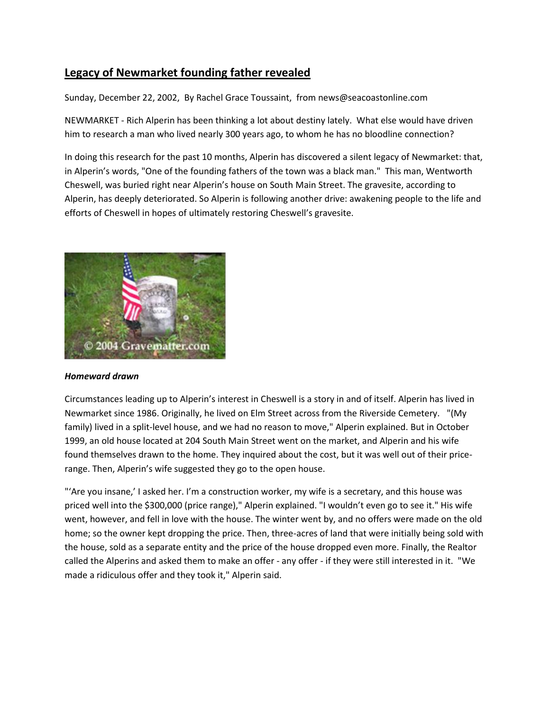### **Legacy of Newmarket founding father revealed**

Sunday, December 22, 2002, By Rachel Grace Toussaint, from news@seacoastonline.com

NEWMARKET - Rich Alperin has been thinking a lot about destiny lately. What else would have driven him to research a man who lived nearly 300 years ago, to whom he has no bloodline connection?

In doing this research for the past 10 months, Alperin has discovered a silent legacy of Newmarket: that, in Alperin's words, "One of the founding fathers of the town was a black man." This man, Wentworth Cheswell, was buried right near Alperin's house on South Main Street. The gravesite, according to Alperin, has deeply deteriorated. So Alperin is following another drive: awakening people to the life and efforts of Cheswell in hopes of ultimately restoring Cheswell's gravesite.



#### *Homeward drawn*

Circumstances leading up to Alperin's interest in Cheswell is a story in and of itself. Alperin has lived in Newmarket since 1986. Originally, he lived on Elm Street across from the Riverside Cemetery. "(My family) lived in a split-level house, and we had no reason to move," Alperin explained. But in October 1999, an old house located at 204 South Main Street went on the market, and Alperin and his wife found themselves drawn to the home. They inquired about the cost, but it was well out of their pricerange. Then, Alperin's wife suggested they go to the open house.

"'Are you insane,' I asked her. I'm a construction worker, my wife is a secretary, and this house was priced well into the \$300,000 (price range)," Alperin explained. "I wouldn't even go to see it." His wife went, however, and fell in love with the house. The winter went by, and no offers were made on the old home; so the owner kept dropping the price. Then, three-acres of land that were initially being sold with the house, sold as a separate entity and the price of the house dropped even more. Finally, the Realtor called the Alperins and asked them to make an offer - any offer - if they were still interested in it. "We made a ridiculous offer and they took it," Alperin said.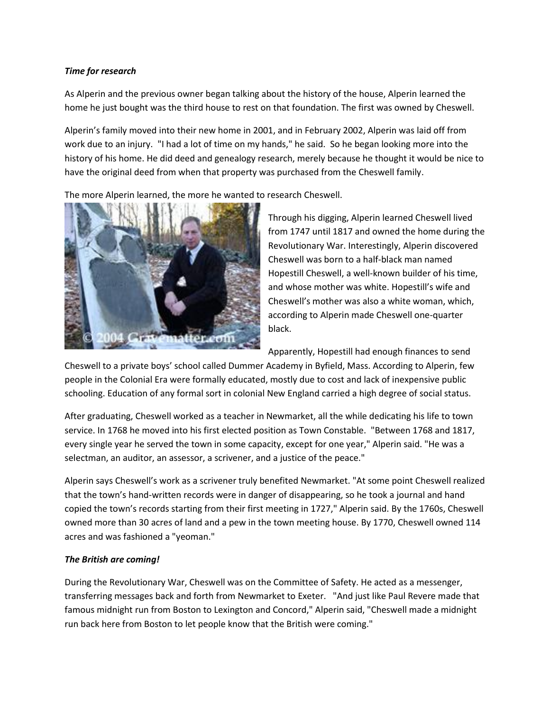#### *Time for research*

As Alperin and the previous owner began talking about the history of the house, Alperin learned the home he just bought was the third house to rest on that foundation. The first was owned by Cheswell.

Alperin's family moved into their new home in 2001, and in February 2002, Alperin was laid off from work due to an injury. "I had a lot of time on my hands," he said. So he began looking more into the history of his home. He did deed and genealogy research, merely because he thought it would be nice to have the original deed from when that property was purchased from the Cheswell family.

The more Alperin learned, the more he wanted to research Cheswell.



Through his digging, Alperin learned Cheswell lived from 1747 until 1817 and owned the home during the Revolutionary War. Interestingly, Alperin discovered Cheswell was born to a half-black man named Hopestill Cheswell, a well-known builder of his time, and whose mother was white. Hopestill's wife and Cheswell's mother was also a white woman, which, according to Alperin made Cheswell one-quarter black.

Apparently, Hopestill had enough finances to send

Cheswell to a private boys' school called Dummer Academy in Byfield, Mass. According to Alperin, few people in the Colonial Era were formally educated, mostly due to cost and lack of inexpensive public schooling. Education of any formal sort in colonial New England carried a high degree of social status.

After graduating, Cheswell worked as a teacher in Newmarket, all the while dedicating his life to town service. In 1768 he moved into his first elected position as Town Constable. "Between 1768 and 1817, every single year he served the town in some capacity, except for one year," Alperin said. "He was a selectman, an auditor, an assessor, a scrivener, and a justice of the peace."

Alperin says Cheswell's work as a scrivener truly benefited Newmarket. "At some point Cheswell realized that the town's hand-written records were in danger of disappearing, so he took a journal and hand copied the town's records starting from their first meeting in 1727," Alperin said. By the 1760s, Cheswell owned more than 30 acres of land and a pew in the town meeting house. By 1770, Cheswell owned 114 acres and was fashioned a "yeoman."

### *The British are coming!*

During the Revolutionary War, Cheswell was on the Committee of Safety. He acted as a messenger, transferring messages back and forth from Newmarket to Exeter. "And just like Paul Revere made that famous midnight run from Boston to Lexington and Concord," Alperin said, "Cheswell made a midnight run back here from Boston to let people know that the British were coming."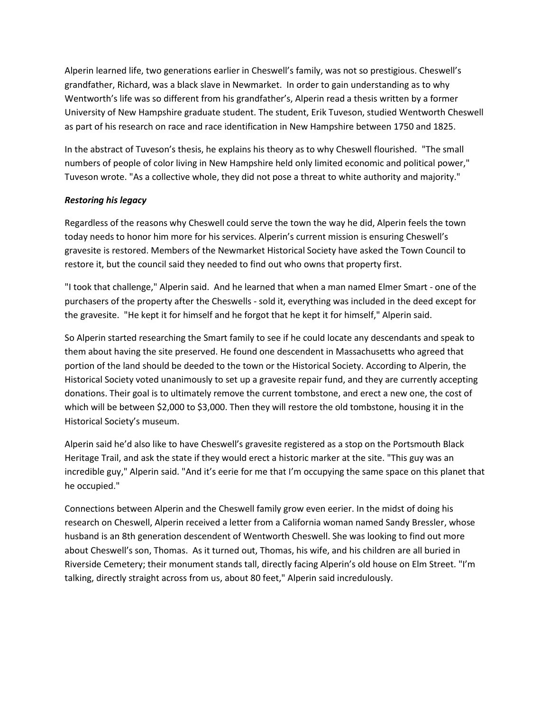Alperin learned life, two generations earlier in Cheswell's family, was not so prestigious. Cheswell's grandfather, Richard, was a black slave in Newmarket. In order to gain understanding as to why Wentworth's life was so different from his grandfather's, Alperin read a thesis written by a former University of New Hampshire graduate student. The student, Erik Tuveson, studied Wentworth Cheswell as part of his research on race and race identification in New Hampshire between 1750 and 1825.

In the abstract of Tuveson's thesis, he explains his theory as to why Cheswell flourished. "The small numbers of people of color living in New Hampshire held only limited economic and political power," Tuveson wrote. "As a collective whole, they did not pose a threat to white authority and majority."

#### *Restoring his legacy*

Regardless of the reasons why Cheswell could serve the town the way he did, Alperin feels the town today needs to honor him more for his services. Alperin's current mission is ensuring Cheswell's gravesite is restored. Members of the Newmarket Historical Society have asked the Town Council to restore it, but the council said they needed to find out who owns that property first.

"I took that challenge," Alperin said. And he learned that when a man named Elmer Smart - one of the purchasers of the property after the Cheswells - sold it, everything was included in the deed except for the gravesite. "He kept it for himself and he forgot that he kept it for himself," Alperin said.

So Alperin started researching the Smart family to see if he could locate any descendants and speak to them about having the site preserved. He found one descendent in Massachusetts who agreed that portion of the land should be deeded to the town or the Historical Society. According to Alperin, the Historical Society voted unanimously to set up a gravesite repair fund, and they are currently accepting donations. Their goal is to ultimately remove the current tombstone, and erect a new one, the cost of which will be between \$2,000 to \$3,000. Then they will restore the old tombstone, housing it in the Historical Society's museum.

Alperin said he'd also like to have Cheswell's gravesite registered as a stop on the Portsmouth Black Heritage Trail, and ask the state if they would erect a historic marker at the site. "This guy was an incredible guy," Alperin said. "And it's eerie for me that I'm occupying the same space on this planet that he occupied."

Connections between Alperin and the Cheswell family grow even eerier. In the midst of doing his research on Cheswell, Alperin received a letter from a California woman named Sandy Bressler, whose husband is an 8th generation descendent of Wentworth Cheswell. She was looking to find out more about Cheswell's son, Thomas. As it turned out, Thomas, his wife, and his children are all buried in Riverside Cemetery; their monument stands tall, directly facing Alperin's old house on Elm Street. "I'm talking, directly straight across from us, about 80 feet," Alperin said incredulously.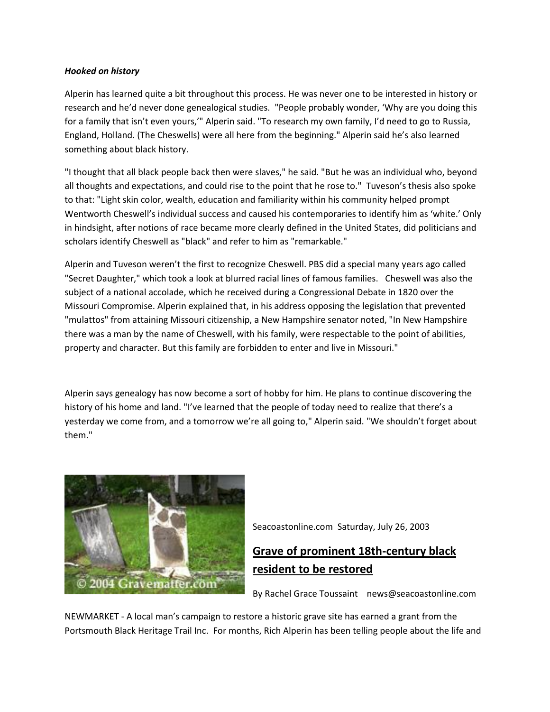#### *Hooked on history*

Alperin has learned quite a bit throughout this process. He was never one to be interested in history or research and he'd never done genealogical studies. "People probably wonder, 'Why are you doing this for a family that isn't even yours,'" Alperin said. "To research my own family, I'd need to go to Russia, England, Holland. (The Cheswells) were all here from the beginning." Alperin said he's also learned something about black history.

"I thought that all black people back then were slaves," he said. "But he was an individual who, beyond all thoughts and expectations, and could rise to the point that he rose to." Tuveson's thesis also spoke to that: "Light skin color, wealth, education and familiarity within his community helped prompt Wentworth Cheswell's individual success and caused his contemporaries to identify him as 'white.' Only in hindsight, after notions of race became more clearly defined in the United States, did politicians and scholars identify Cheswell as "black" and refer to him as "remarkable."

Alperin and Tuveson weren't the first to recognize Cheswell. PBS did a special many years ago called "Secret Daughter," which took a look at blurred racial lines of famous families. Cheswell was also the subject of a national accolade, which he received during a Congressional Debate in 1820 over the Missouri Compromise. Alperin explained that, in his address opposing the legislation that prevented "mulattos" from attaining Missouri citizenship, a New Hampshire senator noted, "In New Hampshire there was a man by the name of Cheswell, with his family, were respectable to the point of abilities, property and character. But this family are forbidden to enter and live in Missouri."

Alperin says genealogy has now become a sort of hobby for him. He plans to continue discovering the history of his home and land. "I've learned that the people of today need to realize that there's a yesterday we come from, and a tomorrow we're all going to," Alperin said. "We shouldn't forget about them."



Seacoastonline.com Saturday, July 26, 2003

# **Grave of prominent 18th-century black resident to be restored**

By Rachel Grace Toussaint news@seacoastonline.com

NEWMARKET - A local man's campaign to restore a historic grave site has earned a grant from the Portsmouth Black Heritage Trail Inc. For months, Rich Alperin has been telling people about the life and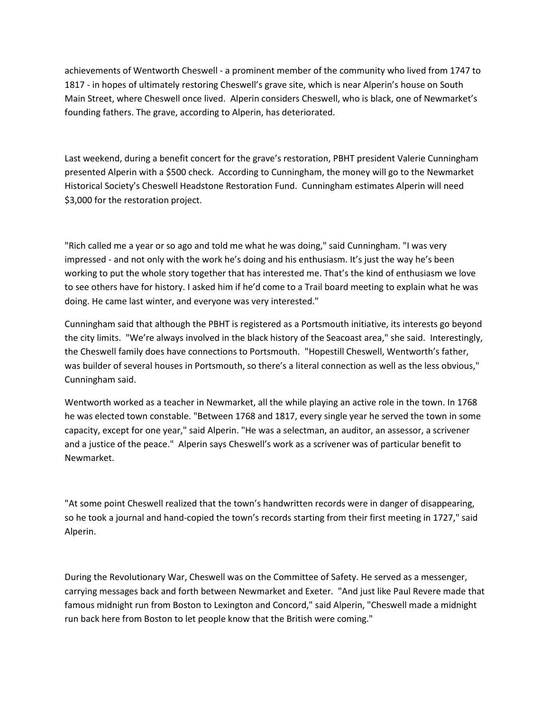achievements of Wentworth Cheswell - a prominent member of the community who lived from 1747 to 1817 - in hopes of ultimately restoring Cheswell's grave site, which is near Alperin's house on South Main Street, where Cheswell once lived. Alperin considers Cheswell, who is black, one of Newmarket's founding fathers. The grave, according to Alperin, has deteriorated.

Last weekend, during a benefit concert for the grave's restoration, PBHT president Valerie Cunningham presented Alperin with a \$500 check. According to Cunningham, the money will go to the Newmarket Historical Society's Cheswell Headstone Restoration Fund. Cunningham estimates Alperin will need \$3,000 for the restoration project.

"Rich called me a year or so ago and told me what he was doing," said Cunningham. "I was very impressed - and not only with the work he's doing and his enthusiasm. It's just the way he's been working to put the whole story together that has interested me. That's the kind of enthusiasm we love to see others have for history. I asked him if he'd come to a Trail board meeting to explain what he was doing. He came last winter, and everyone was very interested."

Cunningham said that although the PBHT is registered as a Portsmouth initiative, its interests go beyond the city limits. "We're always involved in the black history of the Seacoast area," she said. Interestingly, the Cheswell family does have connections to Portsmouth. "Hopestill Cheswell, Wentworth's father, was builder of several houses in Portsmouth, so there's a literal connection as well as the less obvious," Cunningham said.

Wentworth worked as a teacher in Newmarket, all the while playing an active role in the town. In 1768 he was elected town constable. "Between 1768 and 1817, every single year he served the town in some capacity, except for one year," said Alperin. "He was a selectman, an auditor, an assessor, a scrivener and a justice of the peace." Alperin says Cheswell's work as a scrivener was of particular benefit to Newmarket.

"At some point Cheswell realized that the town's handwritten records were in danger of disappearing, so he took a journal and hand-copied the town's records starting from their first meeting in 1727," said Alperin.

During the Revolutionary War, Cheswell was on the Committee of Safety. He served as a messenger, carrying messages back and forth between Newmarket and Exeter. "And just like Paul Revere made that famous midnight run from Boston to Lexington and Concord," said Alperin, "Cheswell made a midnight run back here from Boston to let people know that the British were coming."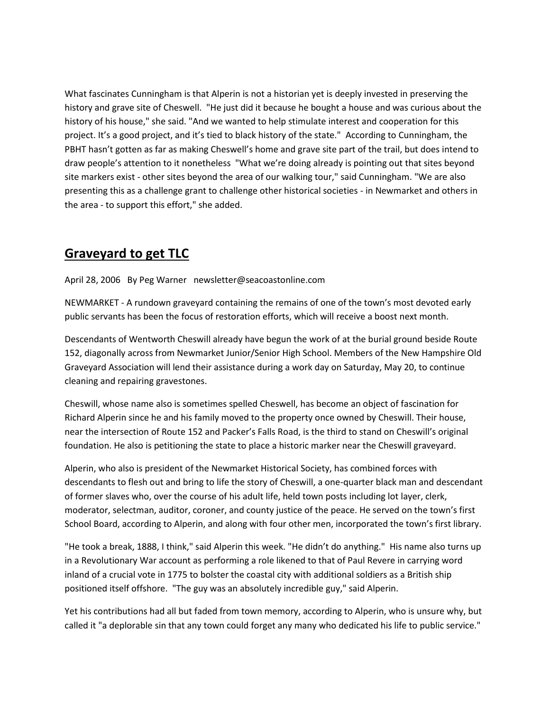What fascinates Cunningham is that Alperin is not a historian yet is deeply invested in preserving the history and grave site of Cheswell. "He just did it because he bought a house and was curious about the history of his house," she said. "And we wanted to help stimulate interest and cooperation for this project. It's a good project, and it's tied to black history of the state." According to Cunningham, the PBHT hasn't gotten as far as making Cheswell's home and grave site part of the trail, but does intend to draw people's attention to it nonetheless "What we're doing already is pointing out that sites beyond site markers exist - other sites beyond the area of our walking tour," said Cunningham. "We are also presenting this as a challenge grant to challenge other historical societies - in Newmarket and others in the area - to support this effort," she added.

## **Graveyard to get TLC**

April 28, 2006 By Peg Warner newsletter@seacoastonline.com

NEWMARKET - A rundown graveyard containing the remains of one of the town's most devoted early public servants has been the focus of restoration efforts, which will receive a boost next month.

Descendants of Wentworth Cheswill already have begun the work of at the burial ground beside Route 152, diagonally across from Newmarket Junior/Senior High School. Members of the New Hampshire Old Graveyard Association will lend their assistance during a work day on Saturday, May 20, to continue cleaning and repairing gravestones.

Cheswill, whose name also is sometimes spelled Cheswell, has become an object of fascination for Richard Alperin since he and his family moved to the property once owned by Cheswill. Their house, near the intersection of Route 152 and Packer's Falls Road, is the third to stand on Cheswill's original foundation. He also is petitioning the state to place a historic marker near the Cheswill graveyard.

Alperin, who also is president of the Newmarket Historical Society, has combined forces with descendants to flesh out and bring to life the story of Cheswill, a one-quarter black man and descendant of former slaves who, over the course of his adult life, held town posts including lot layer, clerk, moderator, selectman, auditor, coroner, and county justice of the peace. He served on the town's first School Board, according to Alperin, and along with four other men, incorporated the town's first library.

"He took a break, 1888, I think," said Alperin this week. "He didn't do anything." His name also turns up in a Revolutionary War account as performing a role likened to that of Paul Revere in carrying word inland of a crucial vote in 1775 to bolster the coastal city with additional soldiers as a British ship positioned itself offshore. "The guy was an absolutely incredible guy," said Alperin.

Yet his contributions had all but faded from town memory, according to Alperin, who is unsure why, but called it "a deplorable sin that any town could forget any many who dedicated his life to public service."